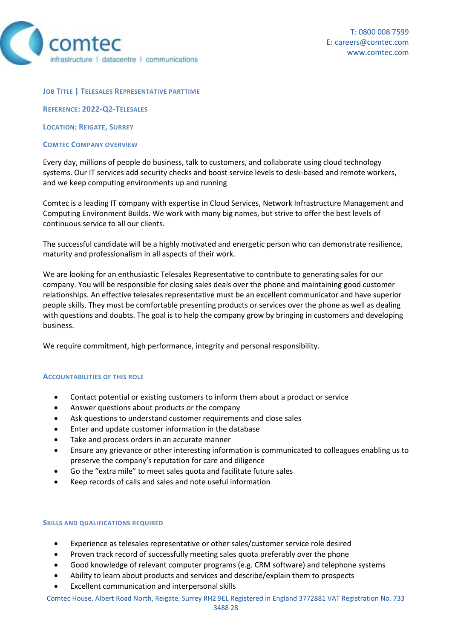

#### **JOB TITLE | TELESALES REPRESENTATIVE PARTTIME**

**REFERENCE: 2022-Q2-TELESALES**

**LOCATION: REIGATE, SURREY**

#### **COMTEC COMPANY OVERVIEW**

Every day, millions of people do business, talk to customers, and collaborate using cloud technology systems. Our IT services add security checks and boost service levels to desk-based and remote workers, and we keep computing environments up and running

Comtec is a leading IT company with expertise in Cloud Services, Network Infrastructure Management and Computing Environment Builds. We work with many big names, but strive to offer the best levels of continuous service to all our clients.

The successful candidate will be a highly motivated and energetic person who can demonstrate resilience, maturity and professionalism in all aspects of their work.

We are looking for an enthusiastic Telesales Representative to contribute to generating sales for our company. You will be responsible for closing sales deals over the phone and maintaining good customer relationships. An effective telesales representative must be an excellent communicator and have superior people skills. They must be comfortable presenting products or services over the phone as well as dealing with questions and doubts. The goal is to help the company grow by bringing in customers and developing business.

We require commitment, high performance, integrity and personal responsibility.

### **ACCOUNTABILITIES OF THIS ROLE**

- Contact potential or existing customers to inform them about a product or service
- Answer questions about products or the company
- Ask questions to understand customer requirements and close sales
- Enter and update customer information in the database
- Take and process orders in an accurate manner
- Ensure any grievance or other interesting information is communicated to colleagues enabling us to preserve the company's reputation for care and diligence
- Go the "extra mile" to meet sales quota and facilitate future sales
- Keep records of calls and sales and note useful information

### **SKILLS AND QUALIFICATIONS REQUIRED**

- Experience as telesales representative or other sales/customer service role desired
- Proven track record of successfully meeting sales quota preferably over the phone
- Good knowledge of relevant computer programs (e.g. CRM software) and telephone systems
- Ability to learn about products and services and describe/explain them to prospects
- Excellent communication and interpersonal skills

Comtec House, Albert Road North, Reigate, Surrey RH2 9EL Registered in England 3772881 VAT Registration No. 733 3488 28